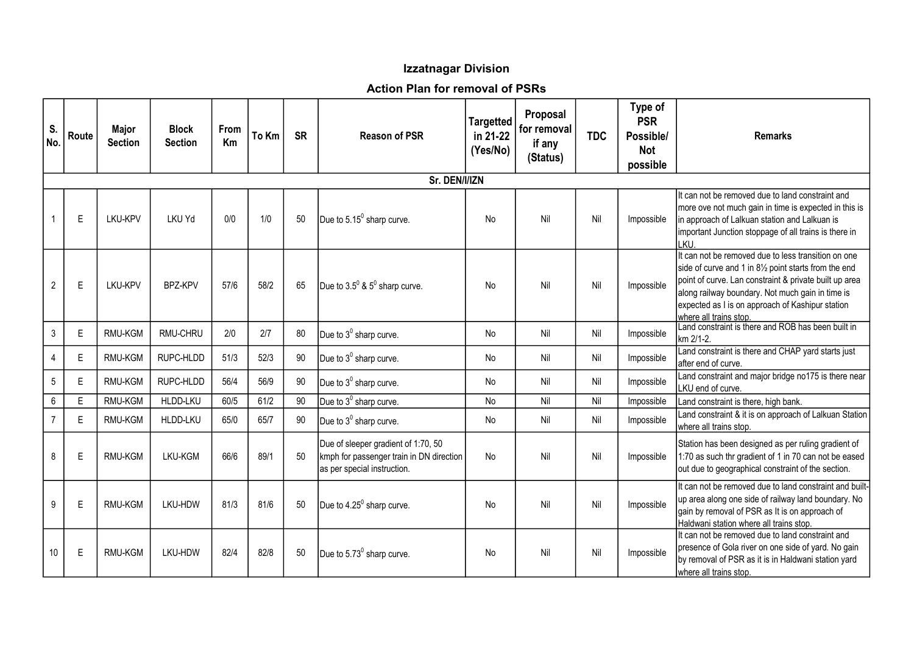## Izzatnagar Division

## Action Plan for removal of PSRs

| S.<br>No.        | Route | Major<br><b>Section</b> | <b>Block</b><br><b>Section</b> | From<br>Km | To Km | <b>SR</b> | <b>Reason of PSR</b>                                                                                           | <b>Targetted</b><br>in 21-22<br>(Yes/No) | Proposal<br>for removal<br>if any<br>(Status) | <b>TDC</b> | Type of<br><b>PSR</b><br>Possible/<br><b>Not</b><br>possible | <b>Remarks</b>                                                                                                                                                                                                                                                                                           |
|------------------|-------|-------------------------|--------------------------------|------------|-------|-----------|----------------------------------------------------------------------------------------------------------------|------------------------------------------|-----------------------------------------------|------------|--------------------------------------------------------------|----------------------------------------------------------------------------------------------------------------------------------------------------------------------------------------------------------------------------------------------------------------------------------------------------------|
|                  |       |                         |                                |            |       |           |                                                                                                                |                                          |                                               |            |                                                              |                                                                                                                                                                                                                                                                                                          |
|                  | E     | LKU-KPV                 | <b>LKU Yd</b>                  | 0/0        | 1/0   | 50        | Due to 5.15 <sup>0</sup> sharp curve.                                                                          | <b>No</b>                                | Nil                                           | Nil        | Impossible                                                   | It can not be removed due to land constraint and<br>more ove not much gain in time is expected in this is<br>in approach of Lalkuan station and Lalkuan is<br>important Junction stoppage of all trains is there in<br>KU.                                                                               |
| $\overline{2}$   | E     | LKU-KPV                 | <b>BP7-KPV</b>                 | 57/6       | 58/2  | 65        | Due to $3.5^0$ & $5^0$ sharp curve.                                                                            | <b>No</b>                                | Nil                                           | Nil        | Impossible                                                   | It can not be removed due to less transition on one<br>side of curve and 1 in 81/2 point starts from the end<br>point of curve. Lan constraint & private built up area<br>along railway boundary. Not much gain in time is<br>expected as I is on approach of Kashipur station<br>where all trains stop. |
| $\mathfrak{Z}$   | E     | RMU-KGM                 | RMU-CHRU                       | 2/0        | 2/7   | 80        | Due to $3^0$ sharp curve.                                                                                      | No                                       | Nil                                           | Nil        | Impossible                                                   | Land constraint is there and ROB has been built in<br>km 2/1-2.                                                                                                                                                                                                                                          |
| 4                | E     | RMU-KGM                 | RUPC-HLDD                      | 51/3       | 52/3  | 90        | Due to $3^0$ sharp curve.                                                                                      | No                                       | Nil                                           | Nil        | Impossible                                                   | Land constraint is there and CHAP yard starts just<br>after end of curve.                                                                                                                                                                                                                                |
| $5\phantom{.0}$  | E     | RMU-KGM                 | RUPC-HLDD                      | 56/4       | 56/9  | 90        | Due to $3^0$ sharp curve.                                                                                      | No                                       | Nil                                           | Nil        | Impossible                                                   | Land constraint and major bridge no175 is there near<br>LKU end of curve.                                                                                                                                                                                                                                |
| 6                | E     | RMU-KGM                 | HLDD-LKU                       | 60/5       | 61/2  | 90        | Due to 3 <sup>0</sup> sharp curve.                                                                             | No                                       | Nil                                           | Nil        | Impossible                                                   | Land constraint is there, high bank.                                                                                                                                                                                                                                                                     |
| $\overline{7}$   | E     | RMU-KGM                 | HLDD-LKU                       | 65/0       | 65/7  | 90        | Due to $3^0$ sharp curve.                                                                                      | No                                       | Nil                                           | Nil        | Impossible                                                   | Land constraint & it is on approach of Lalkuan Station<br>where all trains stop.                                                                                                                                                                                                                         |
| 8                | E     | RMU-KGM                 | LKU-KGM                        | 66/6       | 89/1  | 50        | Due of sleeper gradient of 1:70, 50<br>kmph for passenger train in DN direction<br>as per special instruction. | No                                       | Nil                                           | Nil        | Impossible                                                   | Station has been designed as per ruling gradient of<br>1:70 as such thr gradient of 1 in 70 can not be eased<br>out due to geographical constraint of the section.                                                                                                                                       |
| $\boldsymbol{9}$ | E     | RMU-KGM                 | LKU-HDW                        | 81/3       | 81/6  | 50        | Due to 4.25 <sup>0</sup> sharp curve.                                                                          | <b>No</b>                                | Nil                                           | Nil        | Impossible                                                   | It can not be removed due to land constraint and built-<br>up area along one side of railway land boundary. No<br>gain by removal of PSR as It is on approach of<br>Haldwani station where all trains stop.                                                                                              |
| 10               | E     | RMU-KGM                 | LKU-HDW                        | 82/4       | 82/8  | 50        | Due to 5.73 <sup>0</sup> sharp curve.                                                                          | No                                       | Nil                                           | Nil        | Impossible                                                   | It can not be removed due to land constraint and<br>presence of Gola river on one side of yard. No gain<br>by removal of PSR as it is in Haldwani station yard<br>where all trains stop.                                                                                                                 |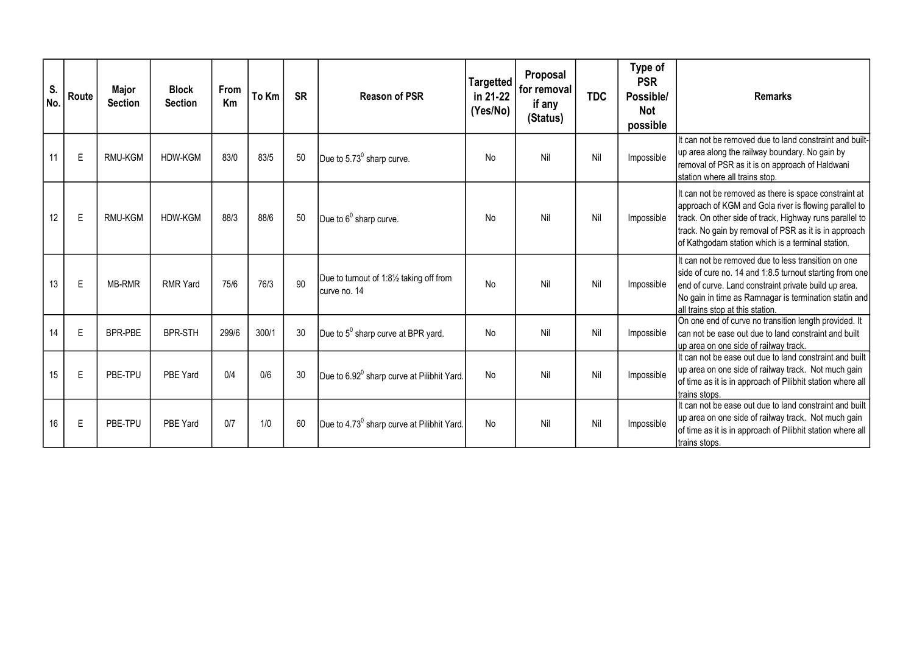| S.<br>No. | Route | Major<br><b>Section</b> | <b>Block</b><br><b>Section</b> | From<br>Km | To Km | <b>SR</b> | <b>Reason of PSR</b>                                     | <b>Targetted</b><br>in 21-22<br>(Yes/No) | Proposal<br>for removal<br>if any<br>(Status) | <b>TDC</b> | Type of<br><b>PSR</b><br>Possible/<br><b>Not</b><br>possible | <b>Remarks</b>                                                                                                                                                                                                                                                                          |
|-----------|-------|-------------------------|--------------------------------|------------|-------|-----------|----------------------------------------------------------|------------------------------------------|-----------------------------------------------|------------|--------------------------------------------------------------|-----------------------------------------------------------------------------------------------------------------------------------------------------------------------------------------------------------------------------------------------------------------------------------------|
| 11        | E     | <b>RMU-KGM</b>          | HDW-KGM                        | 83/0       | 83/5  | 50        | Due to 5.73 <sup>0</sup> sharp curve.                    | No                                       | Nil                                           | Nil        | Impossible                                                   | It can not be removed due to land constraint and built-<br>up area along the railway boundary. No gain by<br>removal of PSR as it is on approach of Haldwani<br>station where all trains stop.                                                                                          |
| 12        | E     | <b>RMU-KGM</b>          | <b>HDW-KGM</b>                 | 88/3       | 88/6  | 50        | Due to 6 <sup>0</sup> sharp curve.                       | No                                       | Nil                                           | Nil        | Impossible                                                   | It can not be removed as there is space constraint at<br>approach of KGM and Gola river is flowing parallel to<br>track. On other side of track, Highway runs parallel to<br>track. No gain by removal of PSR as it is in approach<br>of Kathgodam station which is a terminal station. |
| 13        | E     | MB-RMR                  | <b>RMR Yard</b>                | 75/6       | 76/3  | 90        | Due to turnout of 1:81/2 taking off from<br>curve no. 14 | <b>No</b>                                | Nil                                           | Nil        | Impossible                                                   | It can not be removed due to less transition on one<br>side of cure no. 14 and 1:8.5 turnout starting from one<br>end of curve. Land constraint private build up area.<br>No gain in time as Ramnagar is termination statin and<br>Iall trains stop at this station.                    |
| 14        | E     | <b>BPR-PBE</b>          | <b>BPR-STH</b>                 | 299/6      | 300/1 | 30        | Due to 5 <sup>0</sup> sharp curve at BPR yard.           | <b>No</b>                                | Nil                                           | Nil        | Impossible                                                   | On one end of curve no transition length provided. It<br>can not be ease out due to land constraint and built<br>lup area on one side of railway track.                                                                                                                                 |
| 15        | E     | PBE-TPU                 | PBF Yard                       | 0/4        | 0/6   | 30        | Due to 6.92 <sup>0</sup> sharp curve at Pilibhit Yard.   | <b>No</b>                                | Nil                                           | Nil        | Impossible                                                   | It can not be ease out due to land constraint and built<br>up area on one side of railway track. Not much gain<br>of time as it is in approach of Pilibhit station where all<br>trains stops.                                                                                           |
| 16        | E     | PBE-TPU                 | PBE Yard                       | 0/7        | 1/0   | 60        | Due to 4.73 <sup>0</sup> sharp curve at Pilibhit Yard.   | No                                       | Nil                                           | Nil        | Impossible                                                   | It can not be ease out due to land constraint and built<br>up area on one side of railway track. Not much gain<br>of time as it is in approach of Pilibhit station where all<br>trains stops.                                                                                           |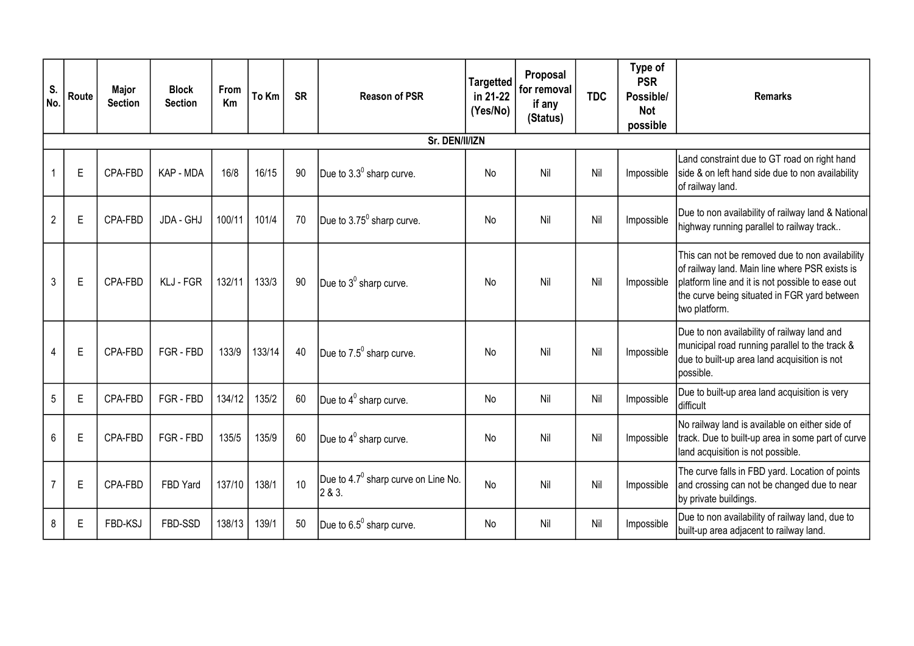| S.<br>No.       | Route       | Major<br><b>Section</b> | <b>Block</b><br><b>Section</b> | From<br>Km | To Km  | <b>SR</b> | <b>Reason of PSR</b>                                      | <b>Targetted</b><br>in 21-22<br>(Yes/No) | Proposal<br>for removal<br>if any<br>(Status) | <b>TDC</b> | Type of<br><b>PSR</b><br>Possible/<br><b>Not</b><br>possible | <b>Remarks</b>                                                                                                                                                                                                         |
|-----------------|-------------|-------------------------|--------------------------------|------------|--------|-----------|-----------------------------------------------------------|------------------------------------------|-----------------------------------------------|------------|--------------------------------------------------------------|------------------------------------------------------------------------------------------------------------------------------------------------------------------------------------------------------------------------|
|                 |             |                         |                                |            |        |           |                                                           |                                          |                                               |            |                                                              |                                                                                                                                                                                                                        |
| $\overline{1}$  | E           | CPA-FBD                 | KAP - MDA                      | 16/8       | 16/15  | 90        | Due to $3.3^0$ sharp curve.                               | No                                       | Nil                                           | Nil        | Impossible                                                   | Land constraint due to GT road on right hand<br>side & on left hand side due to non availability<br>of railway land.                                                                                                   |
| $\overline{2}$  | E           | CPA-FBD                 | JDA - GHJ                      | 100/11     | 101/4  | 70        | Due to $3.75^0$ sharp curve.                              | No                                       | Nil                                           | Nil        | Impossible                                                   | Due to non availability of railway land & National<br>highway running parallel to railway track                                                                                                                        |
| $\mathfrak{Z}$  | $\mathsf E$ | CPA-FBD                 | KLJ - FGR                      | 132/11     | 133/3  | 90        | Due to $3^0$ sharp curve.                                 | No                                       | Nil                                           | Nil        | Impossible                                                   | This can not be removed due to non availability<br>of railway land. Main line where PSR exists is<br>platform line and it is not possible to ease out<br>the curve being situated in FGR yard between<br>two platform. |
| $\overline{4}$  | E           | CPA-FBD                 | FGR-FBD                        | 133/9      | 133/14 | 40        | Due to 7.5 <sup>0</sup> sharp curve.                      | No                                       | Nil                                           | Nil        | Impossible                                                   | Due to non availability of railway land and<br>municipal road running parallel to the track &<br>due to built-up area land acquisition is not<br>possible.                                                             |
| $5\phantom{.0}$ | E           | CPA-FBD                 | FGR-FBD                        | 134/12     | 135/2  | 60        | Due to $4^0$ sharp curve.                                 | No                                       | Nil                                           | Nil        | Impossible                                                   | Due to built-up area land acquisition is very<br>difficult                                                                                                                                                             |
| 6               | E           | CPA-FBD                 | FGR-FBD                        | 135/5      | 135/9  | 60        | Due to $4^0$ sharp curve.                                 | No                                       | Nil                                           | Nil        | Impossible                                                   | No railway land is available on either side of<br>track. Due to built-up area in some part of curve<br>land acquisition is not possible.                                                                               |
| $\overline{7}$  | E           | CPA-FBD                 | FBD Yard                       | 137/10     | 138/1  | 10        | Due to 4.7 <sup>0</sup> sharp curve on Line No.<br>2 & 3. | <b>No</b>                                | Nil                                           | Nil        | Impossible                                                   | The curve falls in FBD yard. Location of points<br>and crossing can not be changed due to near<br>by private buildings.                                                                                                |
| 8               | E           | FBD-KSJ                 | FBD-SSD                        | 138/13     | 139/1  | 50        | Due to $6.5^0$ sharp curve.                               | No                                       | Nil                                           | Nil        | Impossible                                                   | Due to non availability of railway land, due to<br>built-up area adjacent to railway land.                                                                                                                             |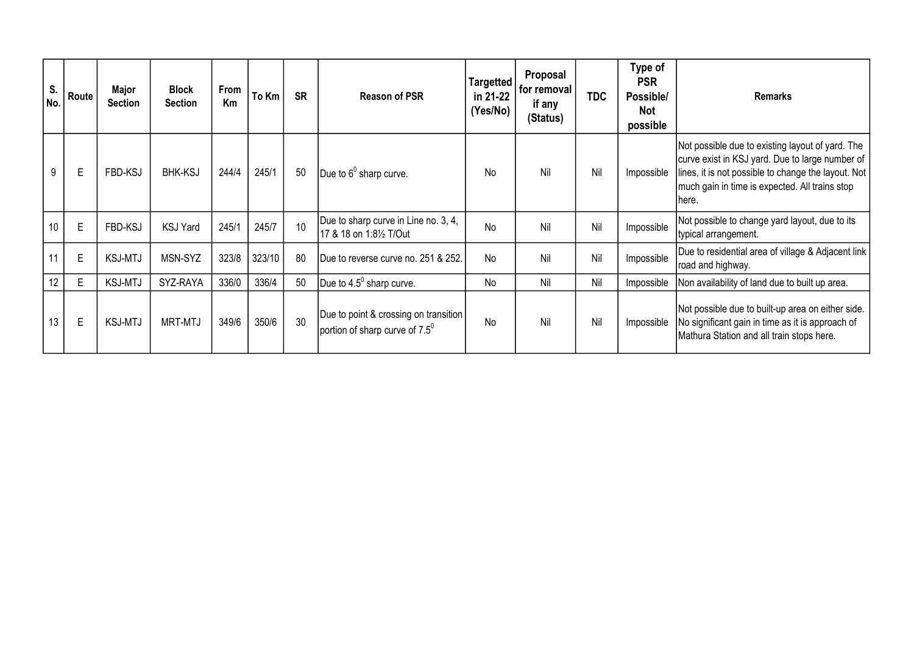| S.<br>No. | Route       | Major<br><b>Section</b> | <b>Block</b><br><b>Section</b> | From<br>Km | To Km  | <b>SR</b> | <b>Reason of PSR</b>                                                             | <b>Targetted</b><br>in 21-22<br>(Yes/No) | Proposal<br>for removal<br>if any<br>(Status) | <b>TDC</b> | Type of<br><b>PSR</b><br>Possible/<br><b>Not</b><br>possible | <b>Remarks</b>                                                                                                                                                                                                         |
|-----------|-------------|-------------------------|--------------------------------|------------|--------|-----------|----------------------------------------------------------------------------------|------------------------------------------|-----------------------------------------------|------------|--------------------------------------------------------------|------------------------------------------------------------------------------------------------------------------------------------------------------------------------------------------------------------------------|
| 9         | E           | FBD-KSJ                 | <b>BHK-KSJ</b>                 | 244/4      | 245/1  | 50        | Due to $6^0$ sharp curve.                                                        | <b>No</b>                                | Nil                                           | Nil        | Impossible                                                   | Not possible due to existing layout of yard. The<br>curve exist in KSJ yard. Due to large number of<br>lines, it is not possible to change the layout. Not<br>much gain in time is expected. All trains stop<br>lhere. |
| 10        | $\mathsf E$ | FBD-KSJ                 | <b>KSJ Yard</b>                | 245/1      | 245/7  | 10        | Due to sharp curve in Line no. 3, 4,<br>17 & 18 on 1:8½ T/Out                    | No                                       | Nil                                           | Nil        | Impossible                                                   | Not possible to change yard layout, due to its<br>typical arrangement.                                                                                                                                                 |
| 11        | $\mathsf E$ | <b>KSJ-MTJ</b>          | MSN-SYZ                        | 323/8      | 323/10 | 80        | IDue to reverse curve no. 251 & 252.                                             | No                                       | Nil                                           | Nil        | Impossible                                                   | Due to residential area of village & Adjacent link<br>road and highway.                                                                                                                                                |
| 12        | $\mathsf E$ | <b>KSJ-MTJ</b>          | SYZ-RAYA                       | 336/0      | 336/4  | 50        | Due to $4.5^{\circ}$ sharp curve.                                                | No                                       | Nil                                           | Nil        | Impossible                                                   | Non availability of land due to built up area.                                                                                                                                                                         |
| 13        | E           | <b>KSJ-MTJ</b>          | <b>MRT-MTJ</b>                 | 349/6      | 350/6  | 30        | Due to point & crossing on transition<br>portion of sharp curve of $7.5^{\circ}$ | No                                       | Nil                                           | Nil        | Impossible                                                   | Not possible due to built-up area on either side.<br>No significant gain in time as it is approach of<br>Mathura Station and all train stops here.                                                                     |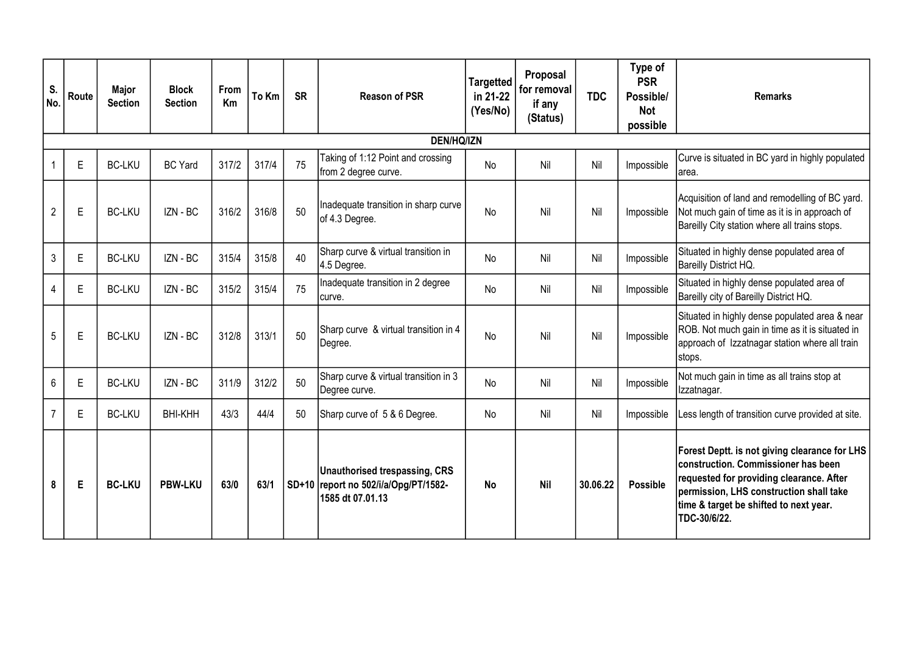| S.<br>No.      | Route             | <b>Major</b><br><b>Section</b> | <b>Block</b><br><b>Section</b> | From<br>Km | To Km | <b>SR</b> | <b>Reason of PSR</b>                                                                             | <b>Targetted</b><br>in 21-22<br>(Yes/No) | Proposal<br>for removal<br>if any<br>(Status) | <b>TDC</b> | Type of<br><b>PSR</b><br>Possible/<br><b>Not</b><br>possible | <b>Remarks</b>                                                                                                                                                                                                                        |
|----------------|-------------------|--------------------------------|--------------------------------|------------|-------|-----------|--------------------------------------------------------------------------------------------------|------------------------------------------|-----------------------------------------------|------------|--------------------------------------------------------------|---------------------------------------------------------------------------------------------------------------------------------------------------------------------------------------------------------------------------------------|
|                | <b>DEN/HQ/IZN</b> |                                |                                |            |       |           |                                                                                                  |                                          |                                               |            |                                                              |                                                                                                                                                                                                                                       |
| $\overline{1}$ | $\mathsf E$       | <b>BC-LKU</b>                  | <b>BC Yard</b>                 | 317/2      | 317/4 | 75        | Taking of 1:12 Point and crossing<br>from 2 degree curve.                                        | <b>No</b>                                | Nil                                           | Nil        | Impossible                                                   | Curve is situated in BC yard in highly populated<br>larea.                                                                                                                                                                            |
| $\overline{2}$ | $\mathsf E$       | <b>BC-LKU</b>                  | IZN - BC                       | 316/2      | 316/8 | 50        | Inadequate transition in sharp curve<br>of 4.3 Degree.                                           | No                                       | Nil                                           | Nil        | Impossible                                                   | Acquisition of land and remodelling of BC yard.<br>Not much gain of time as it is in approach of<br>Bareilly City station where all trains stops.                                                                                     |
| 3              | E                 | <b>BC-LKU</b>                  | IZN - BC                       | 315/4      | 315/8 | 40        | Sharp curve & virtual transition in<br>4.5 Degree.                                               | No                                       | Nil                                           | Nil        | Impossible                                                   | Situated in highly dense populated area of<br>Bareilly District HQ.                                                                                                                                                                   |
| 4              | $\mathsf E$       | <b>BC-LKU</b>                  | IZN - BC                       | 315/2      | 315/4 | 75        | Inadequate transition in 2 degree<br>curve.                                                      | No                                       | Nil                                           | Nil        | Impossible                                                   | Situated in highly dense populated area of<br>Bareilly city of Bareilly District HQ.                                                                                                                                                  |
| 5              | $\mathsf E$       | <b>BC-LKU</b>                  | IZN - BC                       | 312/8      | 313/1 | 50        | Sharp curve & virtual transition in 4<br>Degree.                                                 | No                                       | Nil                                           | Nil        | Impossible                                                   | Situated in highly dense populated area & near<br>ROB. Not much gain in time as it is situated in<br>approach of Izzatnagar station where all train<br>stops.                                                                         |
| 6              | E                 | <b>BC-LKU</b>                  | IZN - BC                       | 311/9      | 312/2 | 50        | Sharp curve & virtual transition in 3<br>Degree curve.                                           | <b>No</b>                                | Nil                                           | Nil        | Impossible                                                   | Not much gain in time as all trains stop at<br>Izzatnagar.                                                                                                                                                                            |
| $\overline{7}$ | $\mathsf E$       | <b>BC-LKU</b>                  | <b>BHI-KHH</b>                 | 43/3       | 44/4  | 50        | Sharp curve of 5 & 6 Degree.                                                                     | No                                       | Nil                                           | Nil        | Impossible                                                   | Less length of transition curve provided at site.                                                                                                                                                                                     |
| 8              | E                 | <b>BC-LKU</b>                  | <b>PBW-LKU</b>                 | 63/0       | 63/1  |           | <b>Unauthorised trespassing, CRS</b><br>SD+10 report no 502/i/a/Opg/PT/1582-<br>1585 dt 07.01.13 | <b>No</b>                                | <b>Nil</b>                                    | 30.06.22   | <b>Possible</b>                                              | Forest Deptt. is not giving clearance for LHS<br>construction. Commissioner has been<br>requested for providing clearance. After<br>permission, LHS construction shall take<br>time & target be shifted to next year.<br>TDC-30/6/22. |